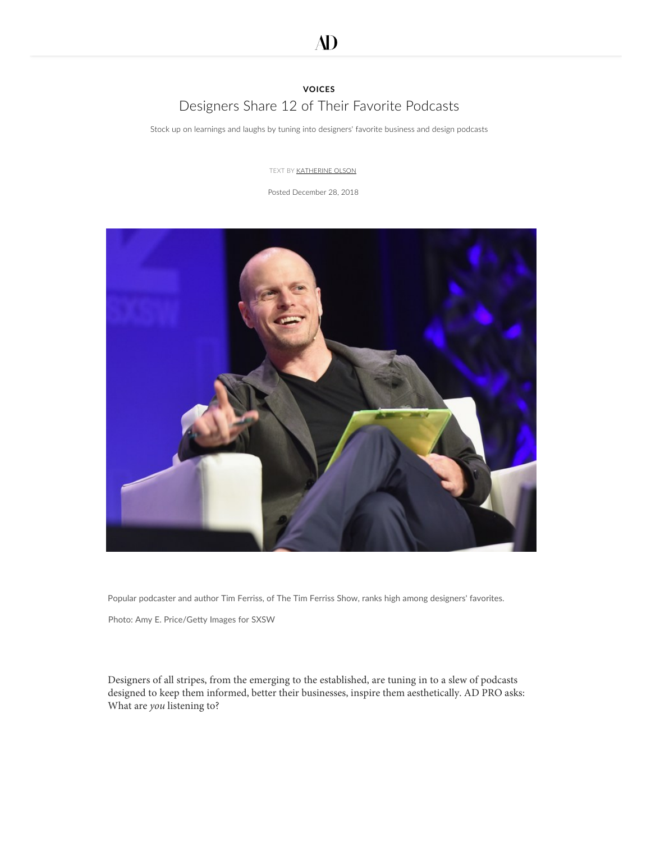# **[VOICES](https://www.architecturaldigest.com/ad-pro)** [Designers Share 12 of Their Favorite Podcasts](https://www.googleadservices.com/pagead/aclk?sa=L&ai=C_f_5vOssXMbpFYidzgWnia6oB_as68JU_7P0qs0Ize-W6J4OEAEgur7wFmDJxqmLwKTYD6AB-5yK0wPIAQKoAwHIA8kEqgSOAk_QsW9FVKfsq4wW2aufgyNTNbFRtCNHVbYtfs4Du4UJHrfomGz9v8jvgIPXB-5tvKDqOiwO185NjO284KiV0zb2Ys0tyuVUU3jtwBwEG9x1TKuH1jKpi0RjofX1xy7y6tBnv_IjqG3wFrjJ0mTVihdFrCdhBG6iY1s0IvJY8Eh3vh_KljSB1W1dvKcRxMkZPkTcNNL1UpmC6y1_9pL5r58FJoNRzsITh2f0bYDTZXY5Fv1ywrWO4JHGgL7Q-4UEr79YG88nB6-sC8ttPHnOs0pV3oi5MkJIzKsEHNTSSnusfaKKSwoSaCLe8uHnf5VNHqLDSzSJvZ5YsLl9RM4fRro5XAsgXBX3qvv2yI1h36AGAoAH7eL1LKgHjs4bqAfVyRuoB6gGqAfZyxuoB8_MG6gHpr4b2AcB0ggHCIBhEAEYAPIIH2JpZGRlci14YXBpOjEzNzg4NjoxcU9ZQksxQTVZV3OxCaRc6yGWnR73gAoE&ae=1&num=1&pr=8:1735E23190891730&cid=CAASEuRoNMtCxQQl3_w7tYOT69H4ug&sig=AOD64_27Ixh-7CMZ8hU_7S7dnV4jaCJsFw&client=ca-pub-6579838053286784&adurl=https://domotexusa.com/the-show/attend/)

Stock up on learnings and laughs by tuning into designers' favorite business and design podcasts

TEXT BY **[KATHERINE OLSON](https://www.architecturaldigest.com/contributor/katherine-olson)** 

Posted December 28, 2018



Popular podcaster and author Tim Ferriss, of The Tim Ferriss Show, ranks high among designers' favorites.

Photo: [Amy](https://www.facebook.com/sharer/sharer.php?u=https%3A%2F%2Fwww.architecturaldigest.com%2Fstory%2Fdesigners-share-12-of-their-favorite-podcasts&t=Designers%20Share%2012%20of%20Their%20Favorite%20Podcasts) E. Price/Getty Images for SXSW

Designers of all stripes, from the emerging to the established, are tuning in to a slew of podcasts designed to keep them informed, better their businesses, inspire them aesthetically. AD PRO asks: What are *you* listening to?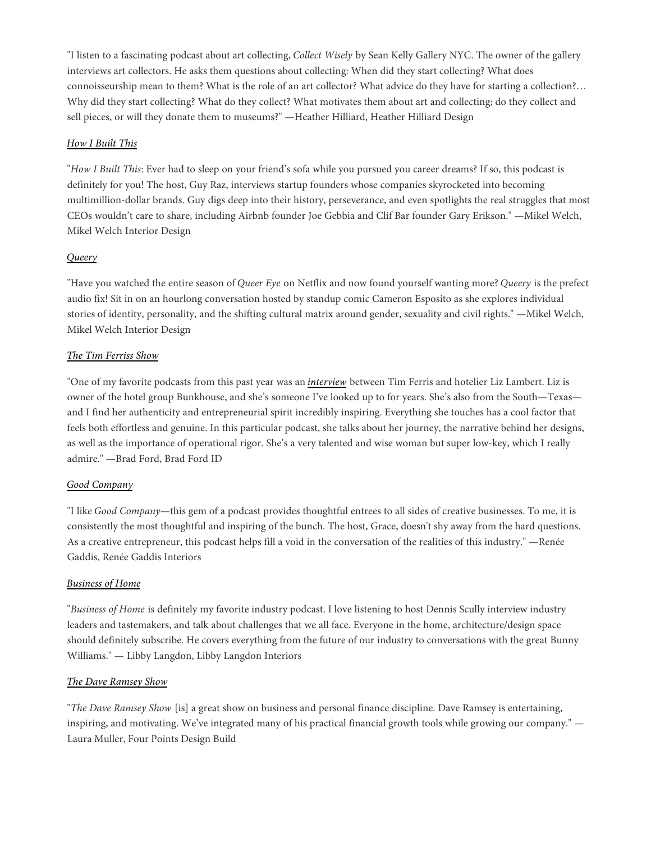"I listen to a fascinating podcast about art collecting, *Collect Wisely* by Sean Kelly Gallery NYC. The owner of the gallery [interviews art c](https://www.skny.com/collect-wisely)ollectors. He asks them questions about collecting: When did they start collecting? What does [connoisseurship mean to them? What is the role of an a](https://www.architecturaldigest.com/story/mikel-welch-tv-design-star-made-his-dream-career-happen#intcid=recommendations_default-similar2_5b48b00f-f790-4139-b583-1b8ed2687a06_cral2-2)rt collector? What advice do they have for starting a collection?... Why did they start collecting? What do they collect? What motivates them about art and collecting; do they collect and sell pieces, or will [they donate them to museums?" —Heather Hilliard, Heather Hilliard Design](https://adclick.g.doubleclick.net/pcs/click?xai=AKAOjsuO85wP6T09Z4CeAKn-rgk7FknoOqLzI7towseqSiiO5NkOVqu_Ji31L_7w6EMdvQwhQ4dvEVvQ1vfqTdjCwK0qHPGve0nbRcbnTHTRZD2WduU7f9fPtqahTKOw72kL7IaR7X5Ql4Cbm--qZwkbUMN7Z7lCB_30G850GZEiIEV12hdBt-4Kk1XjX21N63PgIXw1Iod3aZ9FZyRi9caqzFSr8EA1pJOnwQrRTSALfIM1KTI7kOz7tTUiXAwwkLfUOm1g3EEsbAjfDEF-&sai=AMfl-YTREJ_NmRZzrP6ZyTj2mcuPGIBVnpVPByQffsjFaX89pxxdBys9Fy4xOLxCuZkStlPIbAVryigM3n_lBxJqq_gpnSWG3O7G34S6-Pilw826BdAvbhTilyB-6zmdWq0FNF9B9AWt-L_WP1_UXyBP&sig=Cg0ArKJSzHH7Wo40rxluEAE&urlfix=1&adurl=https://subscribe.architecturaldigest.com/subscribe/architecturaldigest/118557%3Fsource%3DAMS_ARD_DESKTOP_ARTICLE_INSTREAM_0_HolidayWeek_Sale_Holiday_2018_ZZ%26pos_name%3DAMS_ARD_DESKTOP_ARTICLE_INSTREAM)

## *[How I Built This](https://www.npr.org/podcasts/510313/how-i-built-this)*

"*How I Built This*: Ever had to sleep on your friend's sofa while you pursued you career dreams? If so, this podcast is definitely for you! The host, Guy Raz, interviews startup founders whose companies skyrocketed into becoming multimillion-dollar brands. Guy digs deep into their history, perseverance, and even spotlights the real struggles that most CEOs wouldn't care to share, including Airbnb founder Joe Gebbia and Clif Bar founder Gary Erikson." —Mikel Welch, Mikel Welch Interior Design

## *[Queery](https://www.cameronesposito.com/podcasts/)*

"Have you watched the entire season of *Queer Eye* on Netflix and now found yourself wanting more? *Queery* is the prefect audio fix! Sit in on an hourlong conversation hosted by standup comic Cameron Esposito as she explores individual stories of identity, personality, and the shifting cultural matrix around gender, sexuality and civil rights." —Mikel Welch, Mikel Welch Interior Design

## *[The Tim Ferriss Show](https://tim.blog/podcast/)*

"One of my favorite podcasts from this past year was an *[interview](https://player.fm/series/the-tim-ferriss-show-1578275/liz-lambert-the-unstoppable-hotelier)* between Tim Ferris and hotelier Liz Lambert. Liz is owner of the hotel group Bunkhouse, and she's someone I've looked up to for years. She's also from the South—Texas and I find her authenticity and entrepreneurial spirit incredibly inspiring. Everything she touches has a cool factor that feels both effortless and genuine. In this particular podcast, she talks about her journey, the narrative behind her designs, as well as the importance of operational rigor. She's a very talented and wise woman but super low-key, which I really admire." —Brad Ford, Brad Ford ID

## *[Good Company](https://itunes.apple.com/us/podcast/good-company/id1436520727?mt=2)*

"I like *Good Company*—this gem of a podcast provides thoughtful entrees to all sides of creative businesses. To me, it is consistently the most thoughtful and inspiring of the bunch. The host, Grace, doesn't shy away from the hard questions. As a creative entrepreneur, this podcast helps fill a void in the conversation of the realities of this industry." —Renée Gaddis, Renée Gaddis Interiors

## *[Business of Home](https://businessofhome.com/podcasts)*

"*Business of Home* is definitely my favorite industry podcast. I love listening to host Dennis Scully interview industry leaders and tastemakers, and talk about challenges that we all face. Everyone in the home, architecture/design space should definitely subscribe. He covers everything from the future of our industry to conversations with the great Bunny Williams." — Libby Langdon, Libby Langdon Interiors

## *[The Dave Ramsey Show](https://www.daveramsey.com/show/archives/)*

"*The Dave Ramsey Show* [is] a great show on business and personal finance discipline. Dave Ramsey is entertaining, inspiring, and motivating. We've integrated many of his practical financial growth tools while growing our company." — Laura Muller, Four Points Design Build